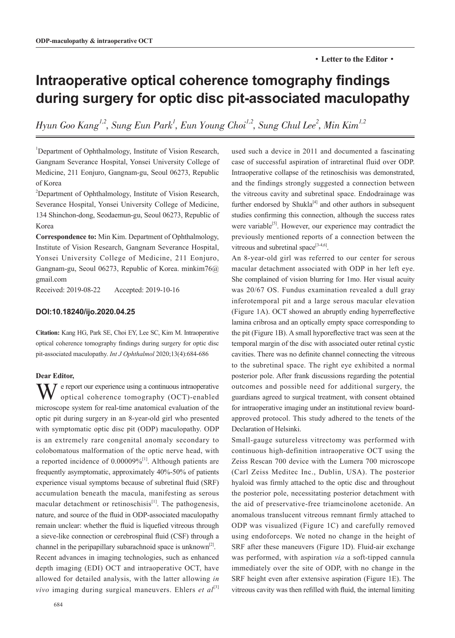# **Intraoperative optical coherence tomography findings during surgery for optic disc pit-associated maculopathy**

Hyun Goo Kang $^{l,2}$ , Sung Eun Park $^l$ , Eun Young Choi $^{l,2}$ , Sung Chul Lee $^2$ , Min Kim $^{l,2}$ 

<sup>1</sup>Department of Ophthalmology, Institute of Vision Research, Gangnam Severance Hospital, Yonsei University College of Medicine, 211 Eonjuro, Gangnam-gu, Seoul 06273, Republic of Korea

<sup>2</sup>Department of Ophthalmology, Institute of Vision Research, Severance Hospital, Yonsei University College of Medicine, 134 Shinchon-dong, Seodaemun-gu, Seoul 06273, Republic of Korea

**Correspondence to:** Min Kim. Department of Ophthalmology, Institute of Vision Research, Gangnam Severance Hospital, Yonsei University College of Medicine, 211 Eonjuro, Gangnam-gu, Seoul 06273, Republic of Korea. minkim76@ gmail.com

Received: 2019-08-22 Accepted: 2019-10-16

# **DOI:10.18240/ijo.2020.04.25**

**Citation:** Kang HG, Park SE, Choi EY, Lee SC, Kim M. Intraoperative optical coherence tomography findings during surgery for optic disc pit-associated maculopathy. *Int J Ophthalmol* 2020;13(4):684-686

#### **Dear Editor,**

 $\sum \sum$  e report our experience using a continuous intraoperative optical coherence tomography (OCT)-enabled microscope system for real-time anatomical evaluation of the optic pit during surgery in an 8-year-old girl who presented with symptomatic optic disc pit (ODP) maculopathy. ODP is an extremely rare congenital anomaly secondary to colobomatous malformation of the optic nerve head, with a reported incidence of  $0.00009\%$ <sup>[1]</sup>. Although patients are frequently asymptomatic, approximately 40%-50% of patients experience visual symptoms because of subretinal fluid (SRF) accumulation beneath the macula, manifesting as serous macular detachment or retinoschisis<sup>[1]</sup>. The pathogenesis, nature, and source of the fluid in ODP-associated maculopathy remain unclear: whether the fluid is liquefied vitreous through a sieve-like connection or cerebrospinal fluid (CSF) through a channel in the peripapillary subarachnoid space is unknown<sup>[2]</sup>. Recent advances in imaging technologies, such as enhanced depth imaging (EDI) OCT and intraoperative OCT, have allowed for detailed analysis, with the latter allowing *in vivo* imaging during surgical maneuvers. Ehlers *et al*<sup>[3]</sup>

used such a device in 2011 and documented a fascinating case of successful aspiration of intraretinal fluid over ODP. Intraoperative collapse of the retinoschisis was demonstrated, and the findings strongly suggested a connection between the vitreous cavity and subretinal space. Endodrainage was further endorsed by Shukla $[4]$  and other authors in subsequent studies confirming this connection, although the success rates were variable<sup>[5]</sup>. However, our experience may contradict the previously mentioned reports of a connection between the vitreous and subretinal space $^{[3-4,6]}$ .

An 8-year-old girl was referred to our center for serous macular detachment associated with ODP in her left eye. She complained of vision blurring for 1mo. Her visual acuity was 20/67 OS. Fundus examination revealed a dull gray inferotemporal pit and a large serous macular elevation (Figure 1A). OCT showed an abruptly ending hyperreflective lamina cribrosa and an optically empty space corresponding to the pit (Figure 1B). A small hyporeflective tract was seen at the temporal margin of the disc with associated outer retinal cystic cavities. There was no definite channel connecting the vitreous to the subretinal space. The right eye exhibited a normal posterior pole. After frank discussions regarding the potential outcomes and possible need for additional surgery, the guardians agreed to surgical treatment, with consent obtained for intraoperative imaging under an institutional review boardapproved protocol. This study adhered to the tenets of the Declaration of Helsinki.

Small-gauge sutureless vitrectomy was performed with continuous high-definition intraoperative OCT using the Zeiss Rescan 700 device with the Lumera 700 microscope (Carl Zeiss Meditec Inc., Dublin, USA). The posterior hyaloid was firmly attached to the optic disc and throughout the posterior pole, necessitating posterior detachment with the aid of preservative-free triamcinolone acetonide. An anomalous translucent vitreous remnant firmly attached to ODP was visualized (Figure 1C) and carefully removed using endoforceps. We noted no change in the height of SRF after these maneuvers (Figure 1D). Fluid-air exchange was performed, with aspiration *via* a soft-tipped cannula immediately over the site of ODP, with no change in the SRF height even after extensive aspiration (Figure 1E). The vitreous cavity was then refilled with fluid, the internal limiting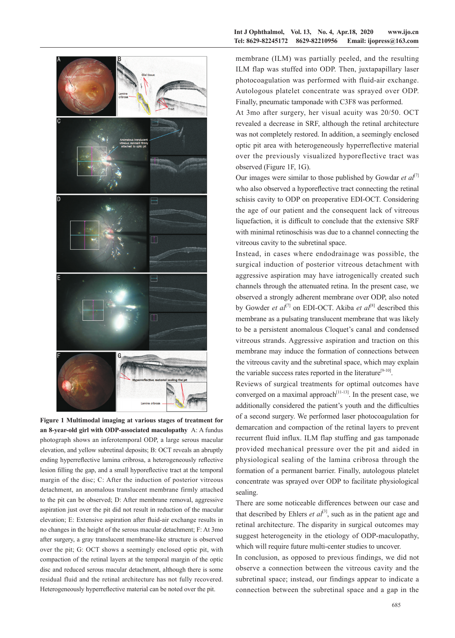

**Figure 1 Multimodal imaging at various stages of treatment for an 8-year-old girl with ODP-associated maculopathy** A: A fundus photograph shows an inferotemporal ODP, a large serous macular elevation, and yellow subretinal deposits; B: OCT reveals an abruptly ending hyperreflective lamina cribrosa, a heterogeneously reflective lesion filling the gap, and a small hyporeflective tract at the temporal margin of the disc; C: After the induction of posterior vitreous detachment, an anomalous translucent membrane firmly attached to the pit can be observed; D: After membrane removal, aggressive aspiration just over the pit did not result in reduction of the macular elevation; E: Extensive aspiration after fluid-air exchange results in no changes in the height of the serous macular detachment; F: At 3mo after surgery, a gray translucent membrane-like structure is observed over the pit; G: OCT shows a seemingly enclosed optic pit, with compaction of the retinal layers at the temporal margin of the optic disc and reduced serous macular detachment, although there is some residual fluid and the retinal architecture has not fully recovered. Heterogeneously hyperreflective material can be noted over the pit.

#### **Int J Ophthalmol, Vol. 13, No. 4, Apr.18, 2020 www.ijo.cn Tel: 8629-82245172 8629-82210956 Email: ijopress@163.com**

membrane (ILM) was partially peeled, and the resulting ILM flap was stuffed into ODP. Then, juxtapapillary laser photocoagulation was performed with fluid-air exchange. Autologous platelet concentrate was sprayed over ODP. Finally, pneumatic tamponade with C3F8 was performed.

At 3mo after surgery, her visual acuity was 20/50. OCT revealed a decrease in SRF, although the retinal architecture was not completely restored. In addition, a seemingly enclosed optic pit area with heterogeneously hyperreflective material over the previously visualized hyporeflective tract was observed (Figure 1F, 1G).

Our images were similar to those published by Gowdar *et al*<sup>[7]</sup> who also observed a hyporeflective tract connecting the retinal schisis cavity to ODP on preoperative EDI-OCT. Considering the age of our patient and the consequent lack of vitreous liquefaction, it is difficult to conclude that the extensive SRF with minimal retinoschisis was due to a channel connecting the vitreous cavity to the subretinal space.

Instead, in cases where endodrainage was possible, the surgical induction of posterior vitreous detachment with aggressive aspiration may have iatrogenically created such channels through the attenuated retina. In the present case, we observed a strongly adherent membrane over ODP, also noted by Gowder *et al*<sup>[7]</sup> on EDI-OCT. Akiba *et al*<sup>[8]</sup> described this membrane as a pulsating translucent membrane that was likely to be a persistent anomalous Cloquet's canal and condensed vitreous strands. Aggressive aspiration and traction on this membrane may induce the formation of connections between the vitreous cavity and the subretinal space, which may explain the variable success rates reported in the literature<sup>[9-10]</sup>.

Reviews of surgical treatments for optimal outcomes have converged on a maximal approach<sup>[11-13]</sup>. In the present case, we additionally considered the patient's youth and the difficulties of a second surgery. We performed laser photocoagulation for demarcation and compaction of the retinal layers to prevent recurrent fluid influx. ILM flap stuffing and gas tamponade provided mechanical pressure over the pit and aided in physiological sealing of the lamina cribrosa through the formation of a permanent barrier. Finally, autologous platelet concentrate was sprayed over ODP to facilitate physiological sealing.

There are some noticeable differences between our case and that described by Ehlers  $et al^{[3]}$ , such as in the patient age and retinal architecture. The disparity in surgical outcomes may suggest heterogeneity in the etiology of ODP-maculopathy, which will require future multi-center studies to uncover.

In conclusion, as opposed to previous findings, we did not observe a connection between the vitreous cavity and the subretinal space; instead, our findings appear to indicate a connection between the subretinal space and a gap in the